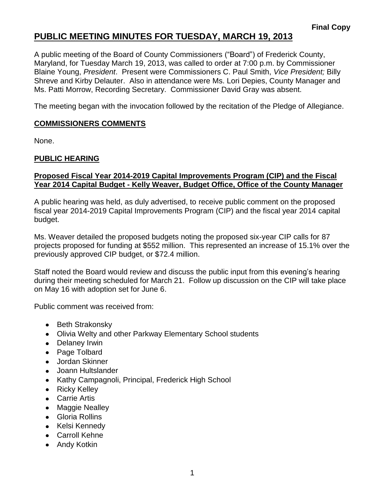## **PUBLIC MEETING MINUTES FOR TUESDAY, MARCH 19, 2013**

A public meeting of the Board of County Commissioners ("Board") of Frederick County, Maryland, for Tuesday March 19, 2013, was called to order at 7:00 p.m. by Commissioner Blaine Young, *President*. Present were Commissioners C. Paul Smith, *Vice President;* Billy Shreve and Kirby Delauter. Also in attendance were Ms. Lori Depies, County Manager and Ms. Patti Morrow, Recording Secretary. Commissioner David Gray was absent.

The meeting began with the invocation followed by the recitation of the Pledge of Allegiance.

#### **COMMISSIONERS COMMENTS**

None.

### **PUBLIC HEARING**

#### **Proposed Fiscal Year 2014-2019 Capital Improvements Program (CIP) and the Fiscal Year 2014 Capital Budget - Kelly Weaver, Budget Office, Office of the County Manager**

A public hearing was held, as duly advertised, to receive public comment on the proposed fiscal year 2014-2019 Capital Improvements Program (CIP) and the fiscal year 2014 capital budget.

Ms. Weaver detailed the proposed budgets noting the proposed six-year CIP calls for 87 projects proposed for funding at \$552 million. This represented an increase of 15.1% over the previously approved CIP budget, or \$72.4 million.

Staff noted the Board would review and discuss the public input from this evening's hearing during their meeting scheduled for March 21. Follow up discussion on the CIP will take place on May 16 with adoption set for June 6.

Public comment was received from:

- Beth Strakonsky
- Olivia Welty and other Parkway Elementary School students
- Delaney Irwin
- Page Tolbard
- Jordan Skinner
- Joann Hultslander
- Kathy Campagnoli, Principal, Frederick High School
- Ricky Kelley
- Carrie Artis
- Maggie Nealley
- Gloria Rollins
- Kelsi Kennedy
- Carroll Kehne
- Andy Kotkin